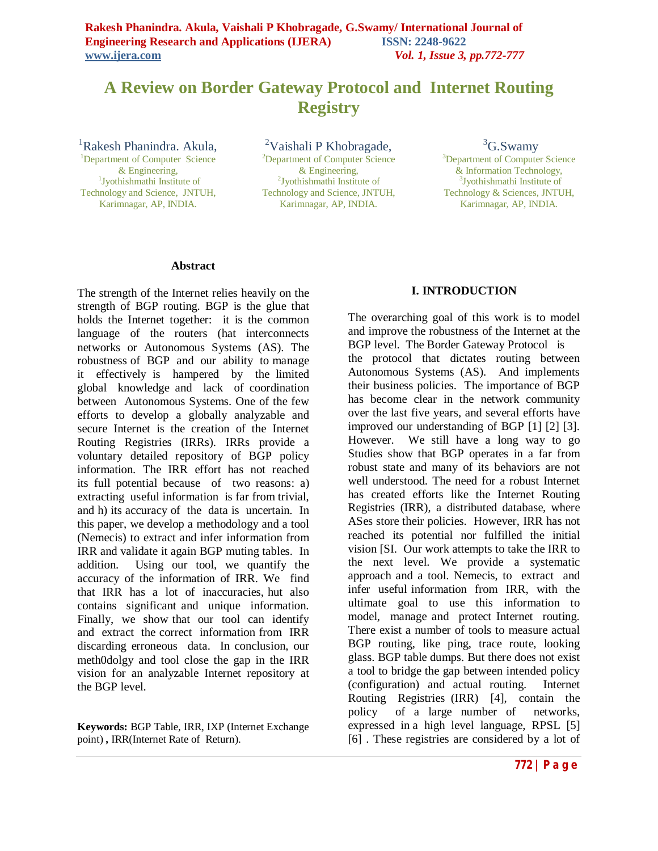# **A Review on Border Gateway Protocol and Internet Routing Registry**

<sup>1</sup>Rakesh Phanindra. Akula,

<sup>1</sup>Department of Computer Science & Engineering, 1 Jyothishmathi Institute of Technology and Science, JNTUH, Karimnagar, AP, INDIA.

<sup>2</sup>Vaishali P Khobragade, <sup>2</sup>Department of Computer Science & Engineering, 2 Jyothishmathi Institute of Technology and Science, JNTUH, Karimnagar, AP, INDIA.

<sup>3</sup>G.Swamy

<sup>3</sup>Department of Computer Science & Information Technology, 3 Jyothishmathi Institute of Technology & Sciences, JNTUH, Karimnagar, AP, INDIA.

#### **Abstract**

The strength of the Internet relies heavily on the strength of BGP routing. BGP is the glue that holds the Internet together: it is the common language of the routers (hat interconnects networks or Autonomous Systems (AS). The robustness of BGP and our ability to manage it effectively is hampered by the limited global knowledge and lack of coordination between Autonomous Systems. One of the few efforts to develop a globally analyzable and secure Internet is the creation of the Internet Routing Registries (IRRs). IRRs provide a voluntary detailed repository of BGP policy information. The IRR effort has not reached its full potential because of two reasons: a) extracting useful information is far from trivial, and h) its accuracy of the data is uncertain. In this paper, we develop a methodology and a tool (Nemecis) to extract and infer information from IRR and validate it again BGP muting tables. In addition. Using our tool, we quantify the accuracy of the information of IRR. We find that IRR has a lot of inaccuracies, hut also contains significant and unique information. Finally, we show that our tool can identify and extract the correct information from IRR discarding erroneous data. In conclusion, our meth0dolgy and tool close the gap in the IRR vision for an analyzable Internet repository at the BGP level.

**Keywords:** BGP Table, IRR, IXP (Internet Exchange point) **,** IRR(Internet Rate of Return).

#### **I. INTRODUCTION**

The overarching goal of this work is to model and improve the robustness of the Internet at the BGP level. The Border Gateway Protocol is the protocol that dictates routing between Autonomous Systems (AS). And implements their business policies. The importance of BGP has become clear in the network community over the last five years, and several efforts have improved our understanding of BGP [1] [2] [3]. However. We still have a long way to go Studies show that BGP operates in a far from robust state and many of its behaviors are not well understood. The need for a robust Internet has created efforts like the Internet Routing Registries (IRR), a distributed database, where ASes store their policies. However, IRR has not reached its potential nor fulfilled the initial vision [SI. Our work attempts to take the IRR to the next level. We provide a systematic approach and a tool. Nemecis, to extract and infer useful information from IRR, with the ultimate goal to use this information to model, manage and protect Internet routing. There exist a number of tools to measure actual BGP routing, like ping, trace route, looking glass. BGP table dumps. But there does not exist a tool to bridge the gap between intended policy (configuration) and actual routing. Internet Routing Registries (IRR) [4], contain the policy of a large number of networks, expressed in a high level language, RPSL [5] [6] . These registries are considered by a lot of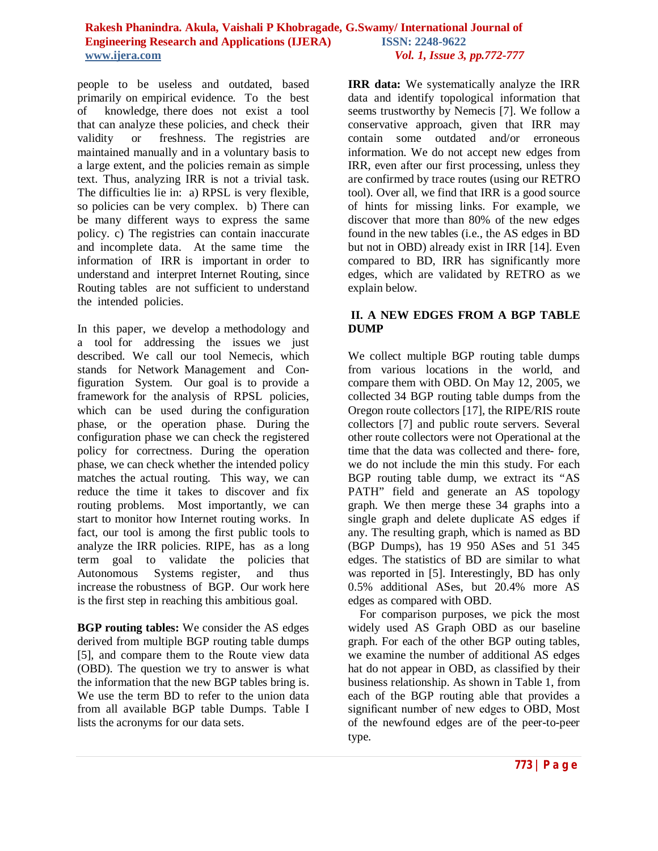people to be useless and outdated, based primarily on empirical evidence. To the best of knowledge, there does not exist a tool that can analyze these policies, and check their validity or freshness. The registries are maintained manually and in a voluntary basis to a large extent, and the policies remain as simple text. Thus, analyzing IRR is not a trivial task. The difficulties lie in: a) RPSL is very flexible, so policies can be very complex. b) There can be many different ways to express the same policy. c) The registries can contain inaccurate and incomplete data. At the same time the information of IRR is important in order to understand and interpret Internet Routing, since Routing tables are not sufficient to understand the intended policies.

In this paper, we develop a methodology and a tool for addressing the issues we just described. We call our tool Nemecis, which stands for Network Management and Configuration System. Our goal is to provide a framework for the analysis of RPSL policies, which can be used during the configuration phase, or the operation phase. During the configuration phase we can check the registered policy for correctness. During the operation phase, we can check whether the intended policy matches the actual routing. This way, we can reduce the time it takes to discover and fix routing problems. Most importantly, we can start to monitor how Internet routing works. In fact, our tool is among the first public tools to analyze the IRR policies. RIPE, has as a long term goal to validate the policies that Autonomous Systems register, and thus increase the robustness of BGP. Our work here is the first step in reaching this ambitious goal.

**BGP routing tables:** We consider the AS edges derived from multiple BGP routing table dumps [5], and compare them to the Route view data (OBD). The question we try to answer is what the information that the new BGP tables bring is. We use the term BD to refer to the union data from all available BGP table Dumps. Table I lists the acronyms for our data sets.

**IRR data:** We systematically analyze the IRR data and identify topological information that seems trustworthy by Nemecis [7]. We follow a conservative approach, given that IRR may contain some outdated and/or erroneous information. We do not accept new edges from IRR, even after our first processing, unless they are confirmed by trace routes (using our RETRO tool). Over all, we find that IRR is a good source of hints for missing links. For example, we discover that more than 80% of the new edges found in the new tables (i.e., the AS edges in BD but not in OBD) already exist in IRR [14]. Even compared to BD, IRR has significantly more edges, which are validated by RETRO as we explain below.

# **II. A NEW EDGES FROM A BGP TABLE DUMP**

We collect multiple BGP routing table dumps from various locations in the world, and compare them with OBD. On May 12, 2005, we collected 34 BGP routing table dumps from the Oregon route collectors [17], the RIPE/RIS route collectors [7] and public route servers. Several other route collectors were not Operational at the time that the data was collected and there- fore, we do not include the min this study. For each BGP routing table dump, we extract its "AS PATH" field and generate an AS topology graph. We then merge these 34 graphs into a single graph and delete duplicate AS edges if any. The resulting graph, which is named as BD (BGP Dumps), has 19 950 ASes and 51 345 edges. The statistics of BD are similar to what was reported in [5]. Interestingly, BD has only 0.5% additional ASes, but 20.4% more AS edges as compared with OBD.

 For comparison purposes, we pick the most widely used AS Graph OBD as our baseline graph. For each of the other BGP outing tables, we examine the number of additional AS edges hat do not appear in OBD, as classified by their business relationship. As shown in Table 1, from each of the BGP routing able that provides a significant number of new edges to OBD, Most of the newfound edges are of the peer-to-peer type.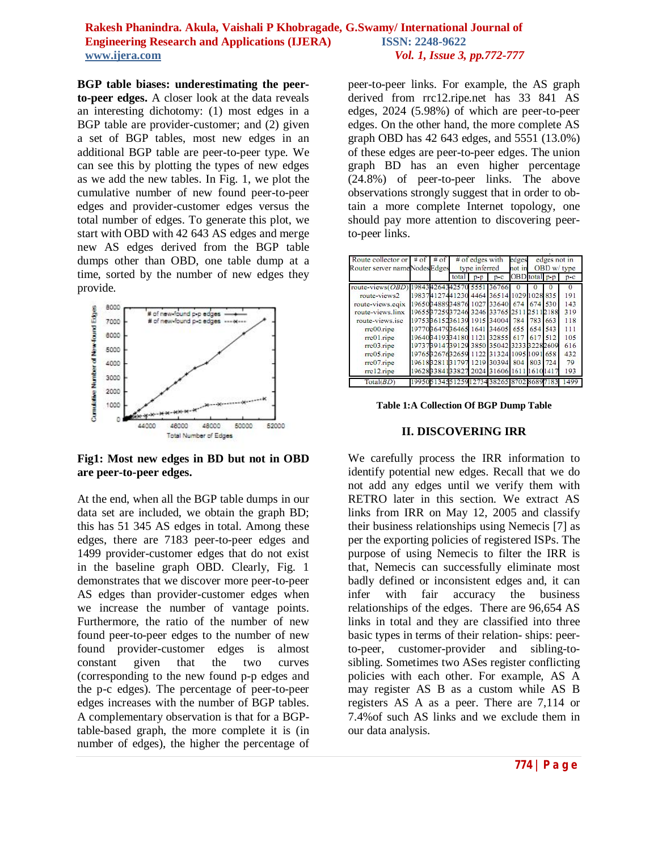**BGP table biases: underestimating the peerto-peer edges.** A closer look at the data reveals an interesting dichotomy: (1) most edges in a BGP table are provider-customer; and (2) given a set of BGP tables, most new edges in an additional BGP table are peer-to-peer type. We can see this by plotting the types of new edges as we add the new tables. In Fig. 1, we plot the cumulative number of new found peer-to-peer edges and provider-customer edges versus the total number of edges. To generate this plot, we start with OBD with 42 643 AS edges and merge new AS edges derived from the BGP table dumps other than OBD, one table dump at a time, sorted by the number of new edges they provide.



**Fig1: Most new edges in BD but not in OBD are peer-to-peer edges.**

At the end, when all the BGP table dumps in our data set are included, we obtain the graph BD; this has 51 345 AS edges in total. Among these edges, there are 7183 peer-to-peer edges and 1499 provider-customer edges that do not exist in the baseline graph OBD. Clearly, Fig. 1 demonstrates that we discover more peer-to-peer AS edges than provider-customer edges when we increase the number of vantage points. Furthermore, the ratio of the number of new found peer-to-peer edges to the number of new found provider-customer edges is almost constant given that the two curves (corresponding to the new found p-p edges and the p-c edges). The percentage of peer-to-peer edges increases with the number of BGP tables. A complementary observation is that for a BGPtable-based graph, the more complete it is (in number of edges), the higher the percentage of peer-to-peer links. For example, the AS graph derived from rrc12.ripe.net has 33 841 AS edges, 2024 (5.98%) of which are peer-to-peer edges. On the other hand, the more complete AS graph OBD has 42 643 edges, and 5551 (13.0%) of these edges are peer-to-peer edges. The union graph BD has an even higher percentage (24.8%) of peer-to-peer links. The above observations strongly suggest that in order to obtain a more complete Internet topology, one should pay more attention to discovering peerto-peer links.

| Route collector or $\neq$ of<br>Router server nameNodesEdges | # | $#$ of edges with<br>type inferred |       |                                          | edges<br>not in | edges not in<br>OBD w/ type |      |          |
|--------------------------------------------------------------|---|------------------------------------|-------|------------------------------------------|-----------------|-----------------------------|------|----------|
|                                                              |   | total                              | $p-p$ | $p-c$                                    | OBD total p-p   |                             |      | $p-c$    |
| route-views(OBD                                              |   |                                    |       | 198434264342570 5551 36766               | $\Omega$        |                             |      | $\Omega$ |
| route-views2                                                 |   |                                    |       | 198374127441230 4464 36514 1029 1028 835 |                 |                             |      | 191      |
| route-views.eqix                                             |   |                                    |       | 196503488934876 1027 33640 674 674 530   |                 |                             |      | 143      |
| route-views.linx                                             |   |                                    |       | 19655B725937246 3246 33765 2511          |                 | 251                         | 2188 | 319      |
| route-views.isc                                              |   |                                    |       | 197533615236139 1915 34004               | 784             | 783                         | 663  | 118      |
| rrc00.ripe                                                   |   |                                    |       | 197708647936465 1641 34605 655           |                 | 654                         | 543  | 111      |
| $rrc01$ .ripe                                                |   |                                    |       | 196403419334180 1121 32855               | 617             | 617                         | 512  | 105      |
| rrc03.rine                                                   |   |                                    |       | 19737B914739129 3850 35042 3233 32282609 |                 |                             |      | 616      |
| $rrc05$ .ripe                                                |   |                                    |       | 97653267632659 1122 31324 1095 1091      |                 |                             | 658  | 432      |
| $rrc07$ .ripe                                                |   |                                    |       | 19618B2811B1797 1219 30394 804 1         |                 | 803                         | 724  | 79       |
| $rrc12$ .ripe                                                |   |                                    |       | 19628B3841B3827 2024 31606 1611          |                 | 61                          | 41   | 193      |
| Total(BD)                                                    |   |                                    |       |                                          |                 |                             |      | 499      |

**Table 1:A Collection Of BGP Dump Table**

### **II. DISCOVERING IRR**

We carefully process the IRR information to identify potential new edges. Recall that we do not add any edges until we verify them with RETRO later in this section. We extract AS links from IRR on May 12, 2005 and classify their business relationships using Nemecis [7] as per the exporting policies of registered ISPs. The purpose of using Nemecis to filter the IRR is that, Nemecis can successfully eliminate most badly defined or inconsistent edges and, it can infer with fair accuracy the business relationships of the edges. There are 96,654 AS links in total and they are classified into three basic types in terms of their relation- ships: peerto-peer, customer-provider and sibling-tosibling. Sometimes two ASes register conflicting policies with each other. For example, AS A may register AS B as a custom while AS B registers AS A as a peer. There are 7,114 or 7.4%of such AS links and we exclude them in our data analysis.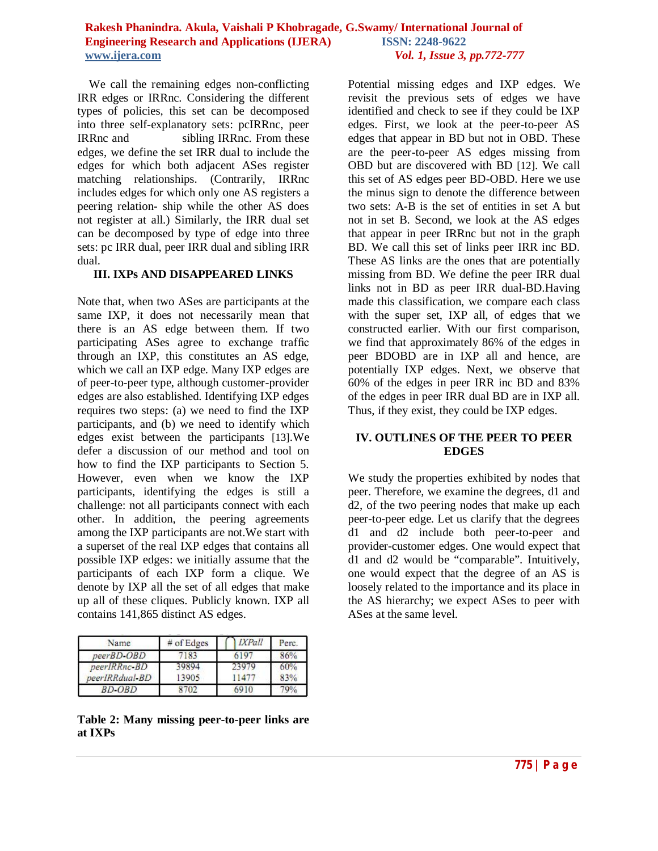We call the remaining edges non-conflicting IRR edges or IRRnc. Considering the different types of policies, this set can be decomposed into three self-explanatory sets: pcIRRnc, peer IRRnc and sibling IRRnc. From these edges, we define the set IRR dual to include the edges for which both adjacent ASes register matching relationships. (Contrarily, IRRnc includes edges for which only one AS registers a peering relation- ship while the other AS does not register at all.) Similarly, the IRR dual set can be decomposed by type of edge into three sets: pc IRR dual, peer IRR dual and sibling IRR dual.

#### **III. IXPs AND DISAPPEARED LINKS**

Note that, when two ASes are participants at the same IXP, it does not necessarily mean that there is an AS edge between them. If two participating ASes agree to exchange traffic through an IXP, this constitutes an AS edge, which we call an IXP edge. Many IXP edges are of peer-to-peer type, although customer-provider edges are also established. Identifying IXP edges requires two steps: (a) we need to find the IXP participants, and (b) we need to identify which edges exist between the participants [13].We defer a discussion of our method and tool on how to find the IXP participants to Section 5. However, even when we know the IXP participants, identifying the edges is still a challenge: not all participants connect with each other. In addition, the peering agreements among the IXP participants are not.We start with a superset of the real IXP edges that contains all possible IXP edges: we initially assume that the participants of each IXP form a clique. We denote by IXP all the set of all edges that make up all of these cliques. Publicly known. IXP all contains 141,865 distinct AS edges.

| Name           | $#$ of Edges | <b>IXPall</b> | Perc. |
|----------------|--------------|---------------|-------|
| peerBD-OBD     | 7183         | 6197          | 86%   |
| peerIRRnc-BD   | 39894        | 23979         | 60%   |
| peerIRRdual-BD | 13905        | 1477          | 83%   |
| BD-OBD         | 8702         | 6910          | 79%   |

#### **Table 2: Many missing peer-to-peer links are at IXPs**

Potential missing edges and IXP edges. We revisit the previous sets of edges we have identified and check to see if they could be IXP edges. First, we look at the peer-to-peer AS edges that appear in BD but not in OBD. These are the peer-to-peer AS edges missing from OBD but are discovered with BD [12]. We call this set of AS edges peer BD-OBD. Here we use the minus sign to denote the difference between two sets: A-B is the set of entities in set A but not in set B. Second, we look at the AS edges that appear in peer IRRnc but not in the graph BD. We call this set of links peer IRR inc BD. These AS links are the ones that are potentially missing from BD. We define the peer IRR dual links not in BD as peer IRR dual-BD.Having made this classification, we compare each class with the super set, IXP all, of edges that we constructed earlier. With our first comparison, we find that approximately 86% of the edges in peer BDOBD are in IXP all and hence, are potentially IXP edges. Next, we observe that 60% of the edges in peer IRR inc BD and 83% of the edges in peer IRR dual BD are in IXP all. Thus, if they exist, they could be IXP edges.

## **IV. OUTLINES OF THE PEER TO PEER EDGES**

We study the properties exhibited by nodes that peer. Therefore, we examine the degrees, d1 and d2, of the two peering nodes that make up each peer-to-peer edge. Let us clarify that the degrees d1 and d2 include both peer-to-peer and provider-customer edges. One would expect that d1 and d2 would be "comparable". Intuitively, one would expect that the degree of an AS is loosely related to the importance and its place in the AS hierarchy; we expect ASes to peer with ASes at the same level.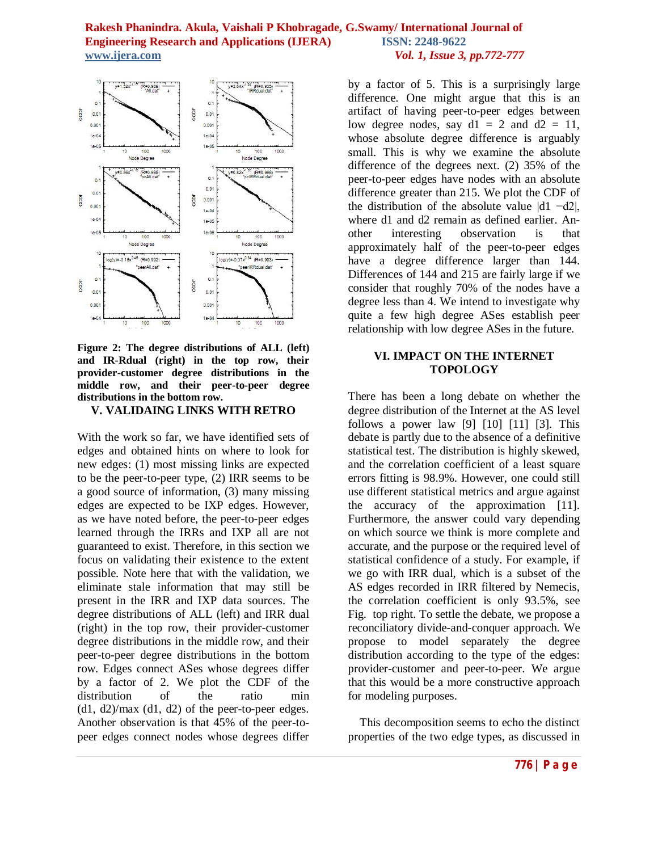

#### **Figure 2: The degree distributions of ALL (left) and IR-Rdual (right) in the top row, their provider-customer degree distributions in the middle row, and their peer-to-peer degree distributions in the bottom row.**

#### **V. VALIDAING LINKS WITH RETRO**

With the work so far, we have identified sets of edges and obtained hints on where to look for new edges: (1) most missing links are expected to be the peer-to-peer type, (2) IRR seems to be a good source of information, (3) many missing edges are expected to be IXP edges. However, as we have noted before, the peer-to-peer edges learned through the IRRs and IXP all are not guaranteed to exist. Therefore, in this section we focus on validating their existence to the extent possible. Note here that with the validation, we eliminate stale information that may still be present in the IRR and IXP data sources. The degree distributions of ALL (left) and IRR dual (right) in the top row, their provider-customer degree distributions in the middle row, and their peer-to-peer degree distributions in the bottom row. Edges connect ASes whose degrees differ by a factor of 2. We plot the CDF of the distribution of the ratio min  $(d1, d2)$ /max  $(d1, d2)$  of the peer-to-peer edges. Another observation is that 45% of the peer-topeer edges connect nodes whose degrees differ

by a factor of 5. This is a surprisingly large difference. One might argue that this is an artifact of having peer-to-peer edges between low degree nodes, say  $d1 = 2$  and  $d2 = 11$ , whose absolute degree difference is arguably small. This is why we examine the absolute difference of the degrees next. (2) 35% of the peer-to-peer edges have nodes with an absolute difference greater than 215. We plot the CDF of the distribution of the absolute value |d1 −d2|, where d1 and d2 remain as defined earlier. Another interesting observation is that approximately half of the peer-to-peer edges have a degree difference larger than 144. Differences of 144 and 215 are fairly large if we consider that roughly 70% of the nodes have a degree less than 4. We intend to investigate why quite a few high degree ASes establish peer relationship with low degree ASes in the future.

## **VI. IMPACT ON THE INTERNET TOPOLOGY**

There has been a long debate on whether the degree distribution of the Internet at the AS level follows a power law  $[9]$   $[10]$   $[11]$   $[3]$ . This debate is partly due to the absence of a definitive statistical test. The distribution is highly skewed, and the correlation coefficient of a least square errors fitting is 98.9%. However, one could still use different statistical metrics and argue against the accuracy of the approximation [11]. Furthermore, the answer could vary depending on which source we think is more complete and accurate, and the purpose or the required level of statistical confidence of a study. For example, if we go with IRR dual, which is a subset of the AS edges recorded in IRR filtered by Nemecis, the correlation coefficient is only 93.5%, see Fig. top right. To settle the debate, we propose a reconciliatory divide-and-conquer approach. We propose to model separately the degree distribution according to the type of the edges: provider-customer and peer-to-peer. We argue that this would be a more constructive approach for modeling purposes.

 This decomposition seems to echo the distinct properties of the two edge types, as discussed in